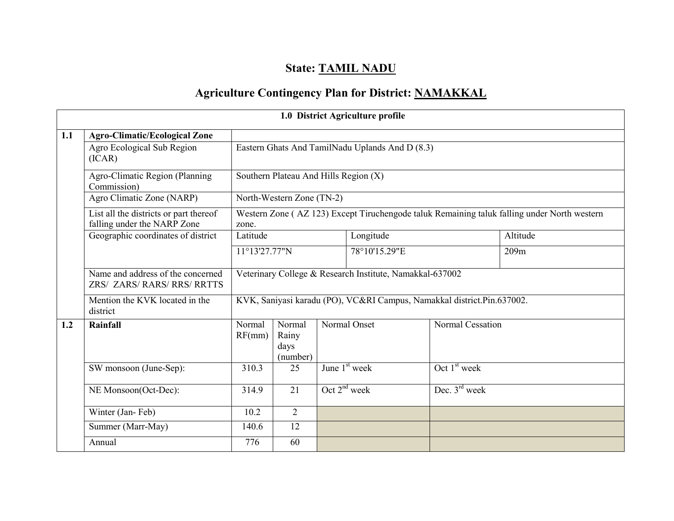# State: TAMIL NADU

# Agriculture Contingency Plan for District: NAMAKKAL

|     | 1.0 District Agriculture profile                                      |                                                          |                                       |  |                                                                                             |                           |          |  |  |  |  |  |
|-----|-----------------------------------------------------------------------|----------------------------------------------------------|---------------------------------------|--|---------------------------------------------------------------------------------------------|---------------------------|----------|--|--|--|--|--|
| 1.1 | <b>Agro-Climatic/Ecological Zone</b>                                  |                                                          |                                       |  |                                                                                             |                           |          |  |  |  |  |  |
|     | Agro Ecological Sub Region<br>(ICAR)                                  |                                                          |                                       |  | Eastern Ghats And TamilNadu Uplands And D (8.3)                                             |                           |          |  |  |  |  |  |
|     | Agro-Climatic Region (Planning<br>Commission)                         |                                                          | Southern Plateau And Hills Region (X) |  |                                                                                             |                           |          |  |  |  |  |  |
|     | Agro Climatic Zone (NARP)                                             |                                                          | North-Western Zone (TN-2)             |  |                                                                                             |                           |          |  |  |  |  |  |
|     | List all the districts or part thereof<br>falling under the NARP Zone | zone.                                                    |                                       |  | Western Zone (AZ 123) Except Tiruchengode taluk Remaining taluk falling under North western |                           |          |  |  |  |  |  |
|     | Geographic coordinates of district                                    | Latitude                                                 |                                       |  | Longitude                                                                                   |                           | Altitude |  |  |  |  |  |
|     |                                                                       | 11°13'27.77"N                                            |                                       |  | 78°10'15.29"E                                                                               |                           | 209m     |  |  |  |  |  |
|     | Name and address of the concerned<br>ZRS/ ZARS/ RARS/ RRS/ RRTTS      | Veterinary College & Research Institute, Namakkal-637002 |                                       |  |                                                                                             |                           |          |  |  |  |  |  |
|     | Mention the KVK located in the<br>district                            |                                                          |                                       |  | KVK, Saniyasi karadu (PO), VC&RI Campus, Namakkal district.Pin.637002.                      |                           |          |  |  |  |  |  |
| 1.2 | Rainfall                                                              | Normal<br>RF(mm)                                         | Normal<br>Rainy<br>days<br>(number)   |  | Normal Onset                                                                                | Normal Cessation          |          |  |  |  |  |  |
|     | SW monsoon (June-Sep):                                                | 310.3                                                    | 25                                    |  | June $1st$ week                                                                             | Oct $1st$ week            |          |  |  |  |  |  |
|     | NE Monsoon(Oct-Dec):                                                  | 314.9                                                    | 21                                    |  | Oct $2^{nd}$ week                                                                           | Dec. $3^{\text{rd}}$ week |          |  |  |  |  |  |
|     | Winter (Jan-Feb)                                                      | 10.2                                                     | $\overline{2}$                        |  |                                                                                             |                           |          |  |  |  |  |  |
|     | Summer (Marr-May)                                                     | 140.6                                                    | 12                                    |  |                                                                                             |                           |          |  |  |  |  |  |
|     | Annual                                                                | 776                                                      | 60                                    |  |                                                                                             |                           |          |  |  |  |  |  |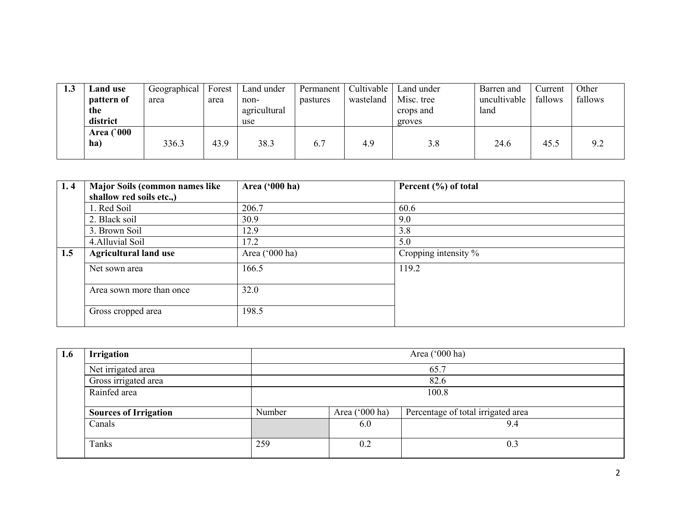| 1.3 | <b>Land use</b>         | Geographical | Forest | Land under   | Permanent | Cultivable | Land under | Barren and   | Current | Other   |
|-----|-------------------------|--------------|--------|--------------|-----------|------------|------------|--------------|---------|---------|
|     | pattern of              | area         | area   | non-         | pastures  | wasteland  | Misc. tree | uncultivable | fallows | fallows |
|     | the                     |              |        | agricultural |           |            | crops and  | land         |         |         |
|     | district                |              |        | use          |           |            | groves     |              |         |         |
|     | <b>Area</b> (000<br>ha) | 336.3        | 43.9   | 38.3         | 6.7       | 4.9        | 3.8        | 24.6         | 45.5    | 9.2     |

| 1.4 | <b>Major Soils (common names like</b> | Area ('000 ha)   | Percent (%) of total    |
|-----|---------------------------------------|------------------|-------------------------|
|     | shallow red soils etc.,)              |                  |                         |
|     | 1. Red Soil                           | 206.7            | 60.6                    |
|     | 2. Black soil                         | 30.9             | 9.0                     |
|     | 3. Brown Soil                         | 12.9             | 3.8                     |
|     | 4. Alluvial Soil                      | 17.2             | 5.0                     |
| 1.5 | <b>Agricultural land use</b>          | Area $('000 ha)$ | Cropping intensity $\%$ |
|     | Net sown area                         | 166.5            | 119.2                   |
|     |                                       |                  |                         |
|     | Area sown more than once              | 32.0             |                         |
|     | Gross cropped area                    | 198.5            |                         |
|     |                                       |                  |                         |

| 1.6 | <b>Irrigation</b>            | Area ('000 ha) |                |                                    |  |  |  |
|-----|------------------------------|----------------|----------------|------------------------------------|--|--|--|
|     | Net irrigated area           |                |                | 65.7                               |  |  |  |
|     | Gross irrigated area         |                |                | 82.6                               |  |  |  |
|     | Rainfed area                 |                | 100.8          |                                    |  |  |  |
|     | <b>Sources of Irrigation</b> | Number         | Area ('000 ha) | Percentage of total irrigated area |  |  |  |
|     | Canals                       |                | 6.0            | 9.4                                |  |  |  |
|     | Tanks                        | 259            | 0.2            | 0.3                                |  |  |  |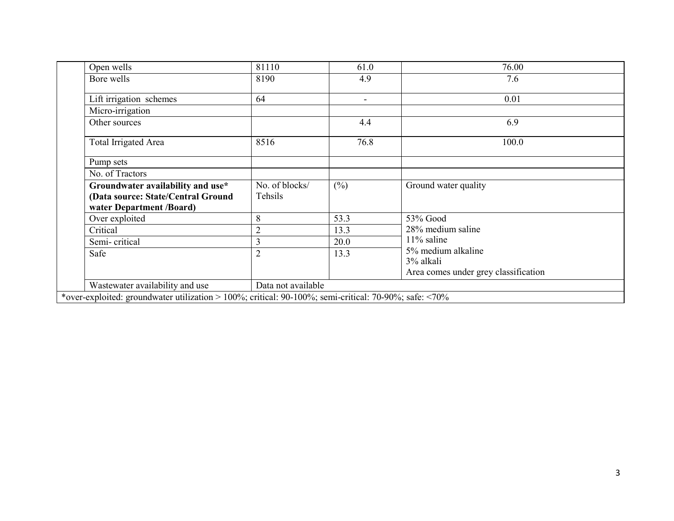| Open wells                                                                                            | 81110              | 61.0           | 76.00                                |
|-------------------------------------------------------------------------------------------------------|--------------------|----------------|--------------------------------------|
| Bore wells                                                                                            | 8190               | 4.9            | 7.6                                  |
| Lift irrigation schemes                                                                               | 64                 | $\blacksquare$ | 0.01                                 |
| Micro-irrigation                                                                                      |                    |                |                                      |
| Other sources                                                                                         |                    | 4.4            | 6.9                                  |
| Total Irrigated Area                                                                                  | 8516               | 76.8           | 100.0                                |
| Pump sets                                                                                             |                    |                |                                      |
| No. of Tractors                                                                                       |                    |                |                                      |
| Groundwater availability and use*                                                                     | No. of blocks/     | $(\%)$         | Ground water quality                 |
| (Data source: State/Central Ground                                                                    | Tehsils            |                |                                      |
| water Department /Board)                                                                              |                    |                |                                      |
| Over exploited                                                                                        | 8                  | 53.3           | 53% Good                             |
| Critical                                                                                              | $\overline{2}$     | 13.3           | 28% medium saline                    |
| Semi-critical                                                                                         | 3                  | 20.0           | $11\%$ saline                        |
| Safe                                                                                                  | $\overline{2}$     | 13.3           | 5% medium alkaline                   |
|                                                                                                       |                    |                | 3% alkali                            |
|                                                                                                       |                    |                | Area comes under grey classification |
| Wastewater availability and use                                                                       | Data not available |                |                                      |
| *over-exploited: groundwater utilization > 100%; critical: 90-100%; semi-critical: 70-90%; safe: <70% |                    |                |                                      |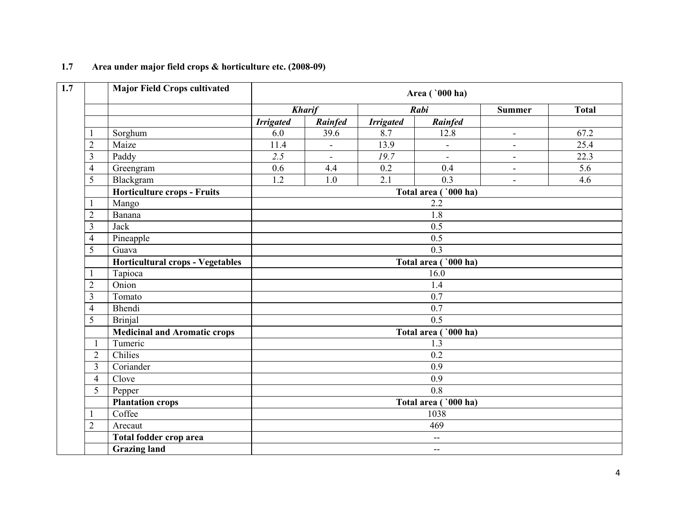|                         | <b>Major Field Crops cultivated</b>     |                       |                |                  | Area ( '000 ha)          |                          |              |  |  |  |
|-------------------------|-----------------------------------------|-----------------------|----------------|------------------|--------------------------|--------------------------|--------------|--|--|--|
|                         |                                         |                       | <b>Kharif</b>  |                  | Rabi                     | <b>Summer</b>            | <b>Total</b> |  |  |  |
|                         |                                         | <b>Irrigated</b>      | Rainfed        | <b>Irrigated</b> | Rainfed                  |                          |              |  |  |  |
|                         | Sorghum                                 | 6.0                   | 39.6           | 8.7              | 12.8                     | $\overline{\phantom{a}}$ | 67.2         |  |  |  |
| $\overline{2}$          | Maize                                   | 11.4                  | $\blacksquare$ | 13.9             | $\blacksquare$           | $\overline{\phantom{a}}$ | 25.4         |  |  |  |
| 3                       | Paddy                                   | 2.5                   |                | 19.7             | $\blacksquare$           | $\blacksquare$           | 22.3         |  |  |  |
| $\overline{4}$          | Greengram                               | 0.6                   | 4.4            | 0.2              | 0.4                      | $\blacksquare$           | 5.6          |  |  |  |
| 5                       | Blackgram                               | 1.2                   | 1.0            | 2.1              | 0.3                      | $\overline{\phantom{a}}$ | 4.6          |  |  |  |
|                         | <b>Horticulture crops - Fruits</b>      |                       |                |                  | Total area ('000 ha)     |                          |              |  |  |  |
| 1                       | Mango                                   |                       |                |                  | 2.2                      |                          |              |  |  |  |
| $\overline{2}$          | Banana                                  |                       |                |                  | 1.8                      |                          |              |  |  |  |
| $\overline{\mathbf{3}}$ | Jack                                    |                       | 0.5            |                  |                          |                          |              |  |  |  |
| $\overline{4}$          | Pineapple                               | 0.5                   |                |                  |                          |                          |              |  |  |  |
| 5                       | Guava                                   | $\overline{0.3}$      |                |                  |                          |                          |              |  |  |  |
|                         | <b>Horticultural crops - Vegetables</b> | Total area ( '000 ha) |                |                  |                          |                          |              |  |  |  |
| 1                       | Tapioca                                 |                       |                |                  | 16.0                     |                          |              |  |  |  |
| $\overline{2}$          | Onion                                   |                       |                |                  | 1.4                      |                          |              |  |  |  |
| $\overline{3}$          | Tomato                                  |                       |                |                  | $\overline{0.7}$         |                          |              |  |  |  |
| $\overline{4}$          | Bhendi                                  |                       |                |                  | 0.7                      |                          |              |  |  |  |
| $\overline{5}$          | <b>Brinjal</b>                          |                       |                |                  | 0.5                      |                          |              |  |  |  |
|                         | <b>Medicinal and Aromatic crops</b>     |                       |                |                  | Total area ( '000 ha)    |                          |              |  |  |  |
| $\mathbf{1}$            | Tumeric                                 |                       |                |                  | 1.3                      |                          |              |  |  |  |
| $\overline{2}$          | Chilies                                 |                       |                |                  | 0.2                      |                          |              |  |  |  |
| 3                       | Coriander                               |                       |                |                  | 0.9                      |                          |              |  |  |  |
| $\overline{4}$          | Clove                                   | 0.9                   |                |                  |                          |                          |              |  |  |  |
| 5                       | Pepper                                  | $\overline{0.8}$      |                |                  |                          |                          |              |  |  |  |
|                         | <b>Plantation crops</b>                 | Total area ( '000 ha) |                |                  |                          |                          |              |  |  |  |
| $\mathbf{1}$            | Coffee                                  |                       |                |                  | 1038                     |                          |              |  |  |  |
| $\overline{2}$          | Arecaut                                 | 469                   |                |                  |                          |                          |              |  |  |  |
|                         | Total fodder crop area                  | $- -$                 |                |                  |                          |                          |              |  |  |  |
|                         | <b>Grazing land</b>                     |                       |                |                  | $\overline{\phantom{m}}$ |                          |              |  |  |  |

### 1.7 Area under major field crops & horticulture etc. (2008-09)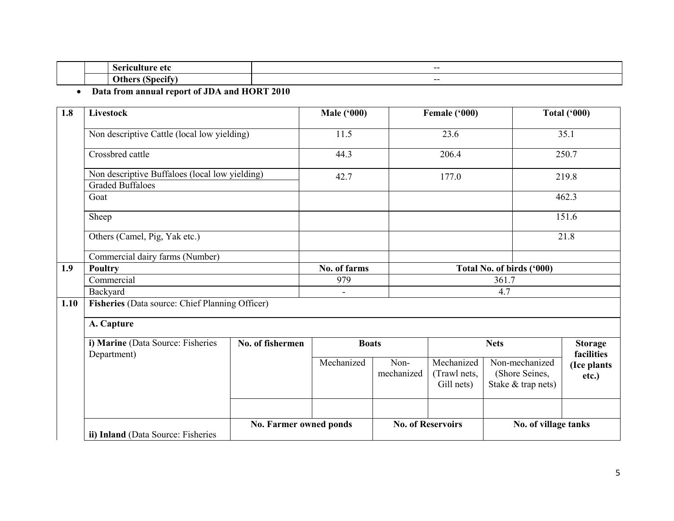|  | $- -$ |
|--|-------|
|  | $- -$ |

• Data from annual report of JDA and HORT 2010

| 1.8  | Livestock                                                                 |                        | <b>Male ('000)</b> |                    | Female ('000)                            |                                                        | <b>Total ('000)</b>          |
|------|---------------------------------------------------------------------------|------------------------|--------------------|--------------------|------------------------------------------|--------------------------------------------------------|------------------------------|
|      | Non descriptive Cattle (local low yielding)                               |                        | 11.5               |                    | 23.6                                     |                                                        | 35.1                         |
|      | Crossbred cattle                                                          |                        | 44.3               |                    | 206.4                                    |                                                        | 250.7                        |
|      | Non descriptive Buffaloes (local low yielding)<br><b>Graded Buffaloes</b> |                        |                    | 42.7               |                                          | 177.0<br>219.8                                         |                              |
|      | Goat                                                                      |                        |                    |                    |                                          |                                                        | 462.3                        |
|      | Sheep                                                                     |                        |                    |                    |                                          |                                                        | 151.6                        |
|      | Others (Camel, Pig, Yak etc.)                                             |                        |                    |                    |                                          |                                                        | 21.8                         |
|      | Commercial dairy farms (Number)                                           |                        |                    |                    |                                          |                                                        |                              |
| 1.9  | Poultry                                                                   |                        | No. of farms       |                    |                                          | Total No. of birds ('000)                              |                              |
|      | Commercial                                                                |                        | 979                |                    |                                          | 361.7                                                  |                              |
|      | Backyard                                                                  |                        |                    |                    |                                          | 4.7                                                    |                              |
| 1.10 | Fisheries (Data source: Chief Planning Officer)                           |                        |                    |                    |                                          |                                                        |                              |
|      | A. Capture                                                                |                        |                    |                    |                                          |                                                        |                              |
|      | i) Marine (Data Source: Fisheries<br>Department)                          | No. of fishermen       | <b>Boats</b>       |                    |                                          | <b>Nets</b>                                            | <b>Storage</b><br>facilities |
|      |                                                                           |                        | Mechanized         | Non-<br>mechanized | Mechanized<br>(Trawl nets,<br>Gill nets) | Non-mechanized<br>(Shore Seines,<br>Stake & trap nets) | (Ice plants<br>etc.)         |
|      |                                                                           |                        |                    |                    |                                          |                                                        |                              |
|      | ii) Inland (Data Source: Fisheries                                        | No. Farmer owned ponds |                    |                    | <b>No. of Reservoirs</b>                 | No. of village tanks                                   |                              |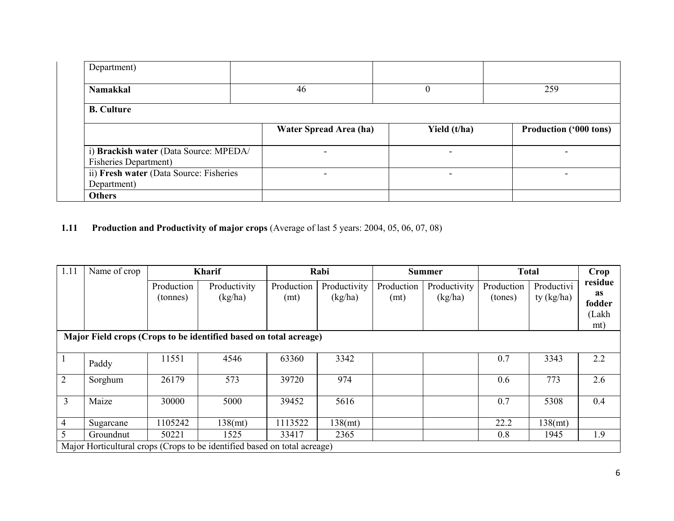| Department)                                                            |                          |                          |                               |
|------------------------------------------------------------------------|--------------------------|--------------------------|-------------------------------|
| <b>Namakkal</b>                                                        | 46                       | v                        | 259                           |
| <b>B.</b> Culture                                                      |                          |                          |                               |
|                                                                        | Water Spread Area (ha)   | Yield (t/ha)             | <b>Production ('000 tons)</b> |
| i) Brackish water (Data Source: MPEDA/<br><b>Fisheries Department)</b> | $\overline{\phantom{0}}$ | $\overline{\phantom{a}}$ |                               |
| ii) Fresh water (Data Source: Fisheries<br>Department)                 | $\overline{\phantom{0}}$ | $\overline{\phantom{a}}$ |                               |
| <b>Others</b>                                                          |                          |                          |                               |

#### **1.11** Production and Productivity of major crops (Average of last 5 years: 2004, 05, 06, 07, 08)

| 1.11           | Name of crop                                                      |                        | <b>Kharif</b>                                                             |                    | Rabi                    |                    | <b>Summer</b>           | <b>Total</b>          |                            | Crop                                    |  |
|----------------|-------------------------------------------------------------------|------------------------|---------------------------------------------------------------------------|--------------------|-------------------------|--------------------|-------------------------|-----------------------|----------------------------|-----------------------------------------|--|
|                |                                                                   | Production<br>(tonnes) | Productivity<br>(kg/ha)                                                   | Production<br>(mt) | Productivity<br>(kg/ha) | Production<br>(mt) | Productivity<br>(kg/ha) | Production<br>(tones) | Productivi<br>ty $(kg/ha)$ | residue<br>as<br>fodder<br>(Lakh<br>mt) |  |
|                | Major Field crops (Crops to be identified based on total acreage) |                        |                                                                           |                    |                         |                    |                         |                       |                            |                                         |  |
| $^{\prime}$ 1  | Paddy                                                             | 11551                  | 4546                                                                      | 63360              | 3342                    |                    |                         | 0.7                   | 3343                       | 2.2                                     |  |
| 2              | Sorghum                                                           | 26179                  | 573                                                                       | 39720              | 974                     |                    |                         | 0.6                   | 773                        | 2.6                                     |  |
| 3              | Maize                                                             | 30000                  | 5000                                                                      | 39452              | 5616                    |                    |                         | 0.7                   | 5308                       | 0.4                                     |  |
| $\overline{4}$ | Sugarcane                                                         | 1105242                | 138(mt)                                                                   | 1113522            | 138(mt)                 |                    |                         | 22.2                  | 138(mt)                    |                                         |  |
| 5              | Groundnut                                                         | 50221                  | 1525                                                                      | 33417              | 2365                    |                    |                         | 0.8                   | 1945                       | 1.9                                     |  |
|                |                                                                   |                        | Major Horticultural crops (Crops to be identified based on total acreage) |                    |                         |                    |                         |                       |                            |                                         |  |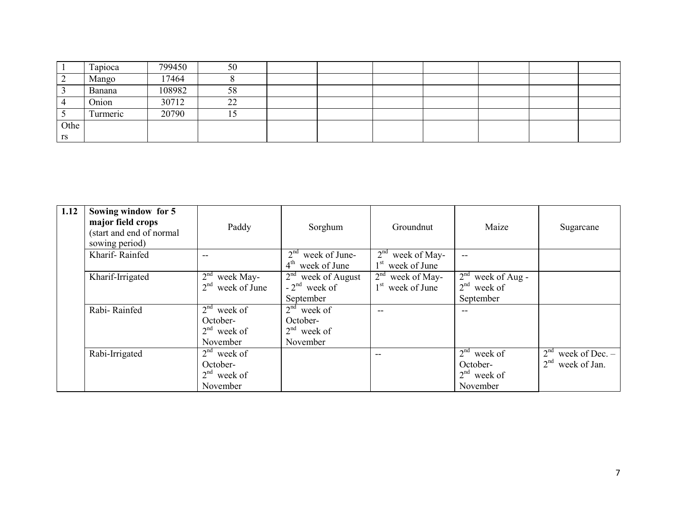|      | Tapioca  | 799450 | 50 |  |  |  |  |
|------|----------|--------|----|--|--|--|--|
|      | Mango    | 17464  |    |  |  |  |  |
|      | Banana   | 108982 | 58 |  |  |  |  |
|      | Onion    | 30712  | 22 |  |  |  |  |
|      | Turmeric | 20790  |    |  |  |  |  |
| Othe |          |        |    |  |  |  |  |
| rs   |          |        |    |  |  |  |  |

| 1.12 | Sowing window for 5<br>major field crops<br>(start and end of normal<br>sowing period) | Paddy                                                  | Sorghum                                                             | Groundnut                                                          | Maize                                                                       | Sugarcane                                                              |
|------|----------------------------------------------------------------------------------------|--------------------------------------------------------|---------------------------------------------------------------------|--------------------------------------------------------------------|-----------------------------------------------------------------------------|------------------------------------------------------------------------|
|      | Kharif-Rainfed                                                                         | $-$                                                    | 2 <sup>nd</sup><br>week of June-<br>$4^{\text{th}}$<br>week of June | 2 <sup>nd</sup><br>week of May-<br>$1^{\rm st}$<br>week of June    | --                                                                          |                                                                        |
|      | Kharif-Irrigated                                                                       | week May-<br>2 <sup>nd</sup><br>week of June           | $2nd$ week of August<br>$-2^{nd}$ week of<br>September              | 2 <sup>nd</sup><br>week of May-<br>1 <sup>st</sup><br>week of June | 2 <sup>nd</sup><br>week of Aug -<br>2 <sup>nd</sup><br>week of<br>September |                                                                        |
|      | Rabi-Rainfed                                                                           | $2nd$ week of<br>October-<br>$2nd$ week of<br>November | $2nd$ week of<br>October-<br>$2nd$ week of<br>November              | --                                                                 | --                                                                          |                                                                        |
|      | Rabi-Irrigated                                                                         | $2nd$ week of<br>October-<br>$2nd$ week of<br>November |                                                                     | $-$                                                                | $2nd$ week of<br>October-<br>$2nd$ week of<br>November                      | 2 <sup>nd</sup><br>week of $Dec. -$<br>2 <sup>nd</sup><br>week of Jan. |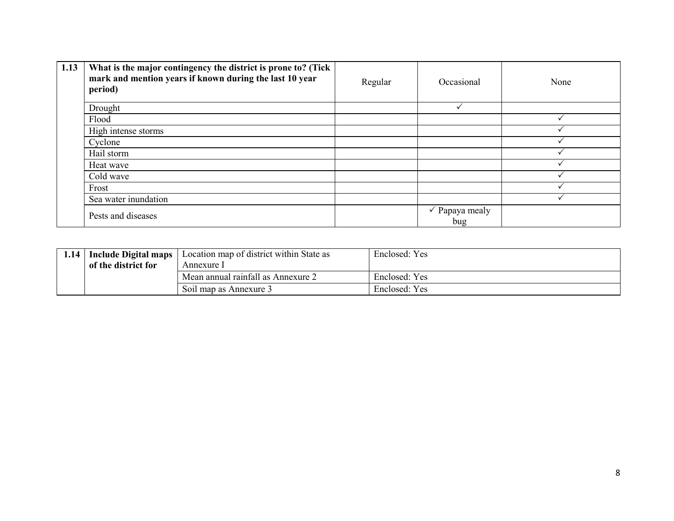| 1.13 | What is the major contingency the district is prone to? (Tick  <br>mark and mention years if known during the last 10 year<br>period) | Regular | Occasional                       | None |
|------|---------------------------------------------------------------------------------------------------------------------------------------|---------|----------------------------------|------|
|      | Drought                                                                                                                               |         |                                  |      |
|      | Flood                                                                                                                                 |         |                                  |      |
|      | High intense storms                                                                                                                   |         |                                  |      |
|      | Cyclone                                                                                                                               |         |                                  |      |
|      | Hail storm                                                                                                                            |         |                                  |      |
|      | Heat wave                                                                                                                             |         |                                  |      |
|      | Cold wave                                                                                                                             |         |                                  |      |
|      | Frost                                                                                                                                 |         |                                  |      |
|      | Sea water inundation                                                                                                                  |         |                                  |      |
|      | Pests and diseases                                                                                                                    |         | $\checkmark$ Papaya mealy<br>bug |      |

| 1.14 | Include Digital maps              | Location map of district within State as | Enclosed: Yes |
|------|-----------------------------------|------------------------------------------|---------------|
|      | of the district for<br>Annexure 1 |                                          |               |
|      |                                   | Mean annual rainfall as Annexure 2       | Enclosed: Yes |
|      |                                   | Soil map as Annexure 3                   | Enclosed: Yes |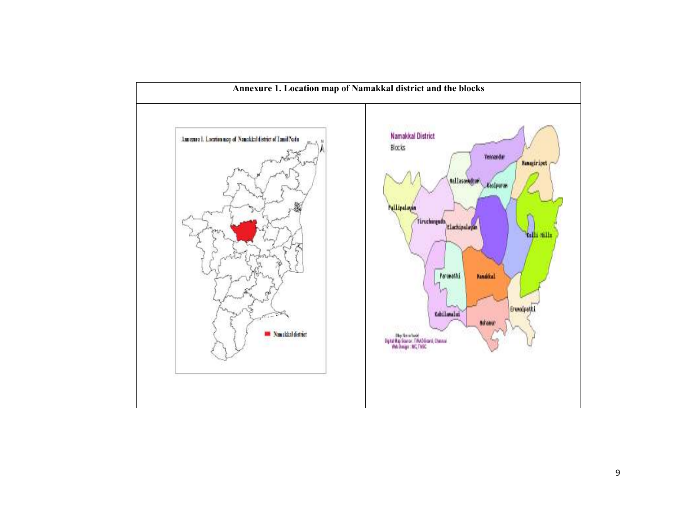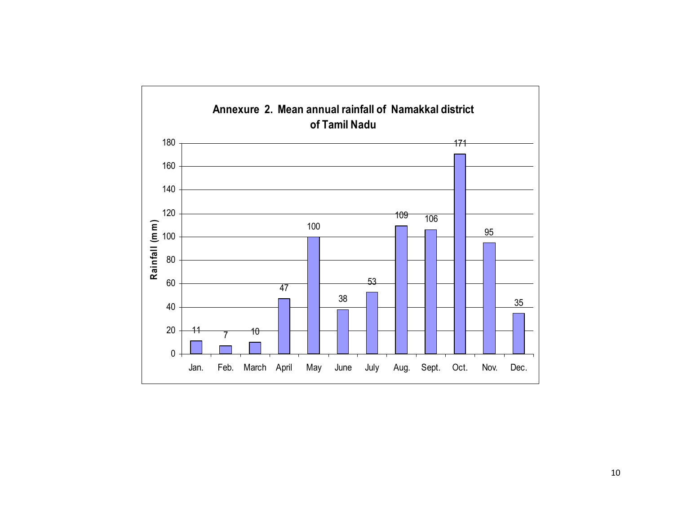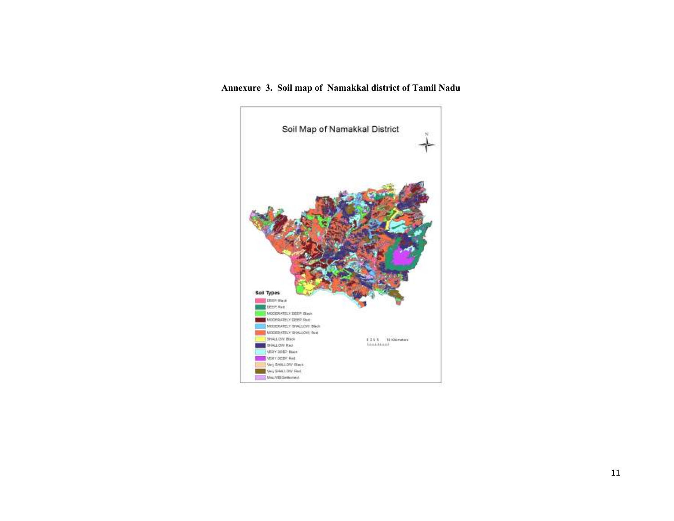#### Annexure 3. Soil map of Namakkal district of Tamil Nadu

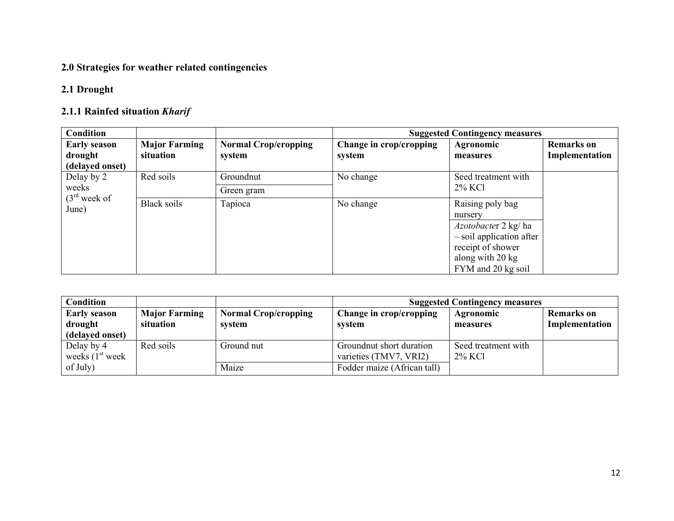### 2.0 Strategies for weather related contingencies

### 2.1 Drought

## 2.1.1 Rainfed situation Kharif

| <b>Condition</b>                                  |                                   |                                       |                                   | <b>Suggested Contingency measures</b>                                                                                                                 |                                     |
|---------------------------------------------------|-----------------------------------|---------------------------------------|-----------------------------------|-------------------------------------------------------------------------------------------------------------------------------------------------------|-------------------------------------|
| <b>Early season</b><br>drought<br>(delayed onset) | <b>Major Farming</b><br>situation | <b>Normal Crop/cropping</b><br>system | Change in crop/cropping<br>system | Agronomic<br>measures                                                                                                                                 | <b>Remarks</b> on<br>Implementation |
| Delay by 2                                        | Red soils                         | Groundnut                             | No change                         | Seed treatment with<br>2% KCl                                                                                                                         |                                     |
| weeks<br>(3 <sup>rd</sup> week of<br>June)        | Black soils                       | Green gram<br>Tapioca                 | No change                         | Raising poly bag<br>nursery<br><i>Azotobacter</i> 2 kg/ ha<br>- soil application after<br>receipt of shower<br>along with 20 kg<br>FYM and 20 kg soil |                                     |

| Condition           |                      |                             | <b>Suggested Contingency measures</b> |                     |                   |  |
|---------------------|----------------------|-----------------------------|---------------------------------------|---------------------|-------------------|--|
| <b>Early season</b> | <b>Major Farming</b> | <b>Normal Crop/cropping</b> | Change in crop/cropping               | <b>Agronomic</b>    | <b>Remarks</b> on |  |
| drought             | situation            | system                      | system                                | measures            | Implementation    |  |
| (delayed onset)     |                      |                             |                                       |                     |                   |  |
| Delay by 4          | Red soils            | Ground nut                  | Ground nut short duration             | Seed treatment with |                   |  |
| weeks $(1st week)$  |                      |                             | varieties (TMV7, VRI2)                | 2% KCl              |                   |  |
| of July)            |                      | Maize                       | Fodder maize (African tall)           |                     |                   |  |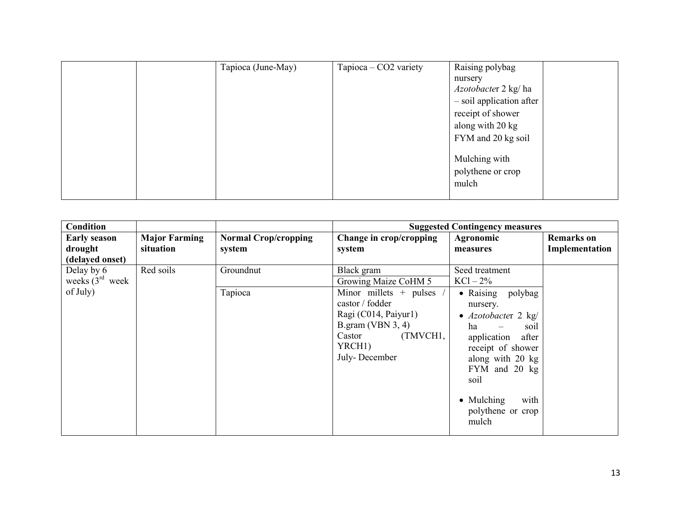|  | Tapioca (June-May) | Tapioca – CO2 variety | Raising polybag                             |
|--|--------------------|-----------------------|---------------------------------------------|
|  |                    |                       | nursery                                     |
|  |                    |                       | <i>Azotobacter</i> 2 kg/ ha                 |
|  |                    |                       | - soil application after                    |
|  |                    |                       | receipt of shower                           |
|  |                    |                       | along with 20 kg                            |
|  |                    |                       | FYM and 20 kg soil                          |
|  |                    |                       | Mulching with<br>polythene or crop<br>mulch |

| <b>Condition</b>                                  |                                   |                                       |                                                                                                                                                           | <b>Suggested Contingency measures</b>                                                                                                                                                                                      |                                     |
|---------------------------------------------------|-----------------------------------|---------------------------------------|-----------------------------------------------------------------------------------------------------------------------------------------------------------|----------------------------------------------------------------------------------------------------------------------------------------------------------------------------------------------------------------------------|-------------------------------------|
| <b>Early season</b><br>drought<br>(delayed onset) | <b>Major Farming</b><br>situation | <b>Normal Crop/cropping</b><br>system | Change in crop/cropping<br>system                                                                                                                         | Agronomic<br>measures                                                                                                                                                                                                      | <b>Remarks</b> on<br>Implementation |
| Delay by 6<br>weeks $(3^{rd}$ week                | Red soils                         | Groundnut                             | Black gram<br>Growing Maize CoHM 5                                                                                                                        | Seed treatment<br>$KCl - 2\%$                                                                                                                                                                                              |                                     |
| of July)                                          |                                   | Tapioca                               | Minor millets $+$ pulses<br>castor / fodder<br>Ragi (C014, Paiyur1)<br>B.gram (VBN $3, 4$ )<br>(TMVCH1,<br>Castor<br>YRCH <sub>1</sub> )<br>July-December | • Raising polybag<br>nursery.<br>• $Azotobacter 2 kg/$<br>ha<br>soil<br>application<br>after<br>receipt of shower<br>along with 20 kg<br>FYM and 20 kg<br>soil<br>$\bullet$ Mulching<br>with<br>polythene or crop<br>mulch |                                     |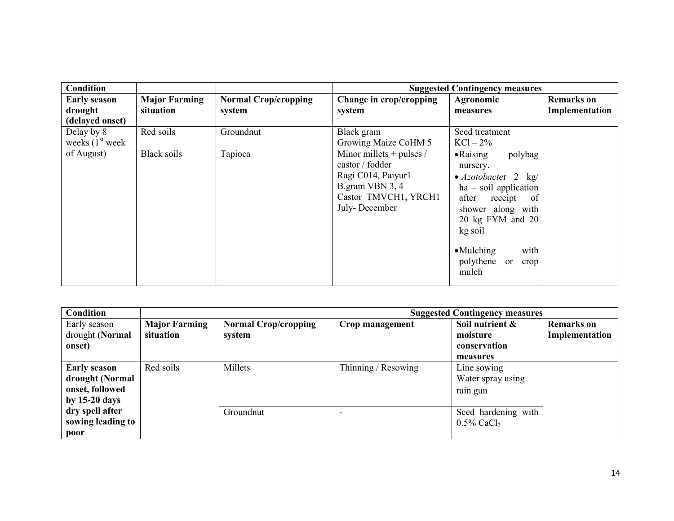| <b>Condition</b>                                  |                                   |                                       |                                                                                                                                 | <b>Suggested Contingency measures</b>                                                                                                                                                                                                                |                                     |
|---------------------------------------------------|-----------------------------------|---------------------------------------|---------------------------------------------------------------------------------------------------------------------------------|------------------------------------------------------------------------------------------------------------------------------------------------------------------------------------------------------------------------------------------------------|-------------------------------------|
| <b>Early season</b><br>drought<br>(delayed onset) | <b>Major Farming</b><br>situation | <b>Normal Crop/cropping</b><br>system | Change in crop/cropping<br>system                                                                                               | Agronomic<br>measures                                                                                                                                                                                                                                | <b>Remarks</b> on<br>Implementation |
| Delay by 8<br>weeks $(1st$ week                   | Red soils                         | Groundnut                             | Black gram<br>Growing Maize CoHM 5                                                                                              | Seed treatment<br>$KCl - 2\%$                                                                                                                                                                                                                        |                                     |
| of August)                                        | <b>Black soils</b>                | Tapioca                               | Minor millets $+$ pulses /<br>castor / fodder<br>Ragi C014, Paiyur1<br>B.gram VBN 3, 4<br>Castor TMVCH1, YRCH1<br>July-December | $\bullet$ Raising<br>polybag<br>nursery.<br>• $Azotobacter 2 kg/$<br>$ha - soil application$<br>receipt<br>after<br><sub>of</sub><br>shower along with<br>20 kg FYM and 20<br>kg soil<br>$\bullet$ Mulching<br>with<br>polythene or<br>crop<br>mulch |                                     |

| <b>Condition</b>                                                             |                                   |                                       | <b>Suggested Contingency measures</b> |                                                         |                                     |  |
|------------------------------------------------------------------------------|-----------------------------------|---------------------------------------|---------------------------------------|---------------------------------------------------------|-------------------------------------|--|
| Early season<br>drought (Normal<br>onset)                                    | <b>Major Farming</b><br>situation | <b>Normal Crop/cropping</b><br>system | Crop management                       | Soil nutrient &<br>moisture<br>conservation<br>measures | <b>Remarks</b> on<br>Implementation |  |
| <b>Early season</b><br>drought (Normal<br>onset, followed<br>by $15-20$ days | Red soils                         | Millets                               | Thinning / Resowing                   | Line sowing<br>Water spray using<br>rain gun            |                                     |  |
| dry spell after<br>sowing leading to<br>poor                                 |                                   | Groundnut                             |                                       | Seed hardening with<br>$0.5\%$ CaCl <sub>2</sub>        |                                     |  |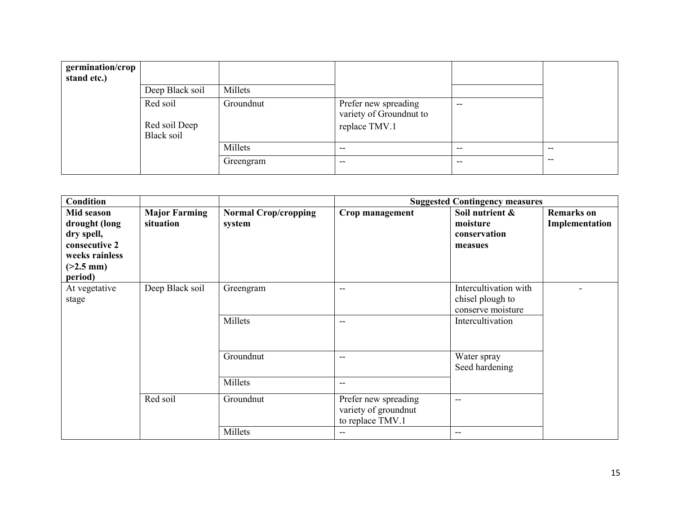| germination/crop<br>stand etc.) | Deep Black soil                         | Millets   |                                                                  |       |       |
|---------------------------------|-----------------------------------------|-----------|------------------------------------------------------------------|-------|-------|
|                                 | Red soil<br>Red soil Deep<br>Black soil | Groundnut | Prefer new spreading<br>variety of Groundnut to<br>replace TMV.1 | $- -$ |       |
|                                 |                                         | Millets   | $- -$                                                            | $- -$ | $- -$ |
|                                 |                                         | Greengram | $- -$                                                            | --    | $- -$ |

| <b>Condition</b>                                                                                       |                                   |                                       |                                                                  | <b>Suggested Contingency measures</b>                          |                                     |
|--------------------------------------------------------------------------------------------------------|-----------------------------------|---------------------------------------|------------------------------------------------------------------|----------------------------------------------------------------|-------------------------------------|
| Mid season<br>drought (long<br>dry spell,<br>consecutive 2<br>weeks rainless<br>$(>2.5$ mm)<br>period) | <b>Major Farming</b><br>situation | <b>Normal Crop/cropping</b><br>system | Crop management                                                  | Soil nutrient &<br>moisture<br>conservation<br>measues         | <b>Remarks</b> on<br>Implementation |
| At vegetative<br>stage                                                                                 | Deep Black soil                   | Greengram                             | --                                                               | Intercultivation with<br>chisel plough to<br>conserve moisture |                                     |
|                                                                                                        |                                   | Millets                               | --                                                               | Intercultivation                                               |                                     |
|                                                                                                        |                                   | Groundnut                             | $-$                                                              | Water spray<br>Seed hardening                                  |                                     |
|                                                                                                        |                                   | Millets                               | $\overline{\phantom{a}}$                                         |                                                                |                                     |
|                                                                                                        | Red soil                          | Groundnut                             | Prefer new spreading<br>variety of groundnut<br>to replace TMV.1 | $\qquad \qquad -$                                              |                                     |
|                                                                                                        |                                   | Millets                               | $- -$                                                            | $- -$                                                          |                                     |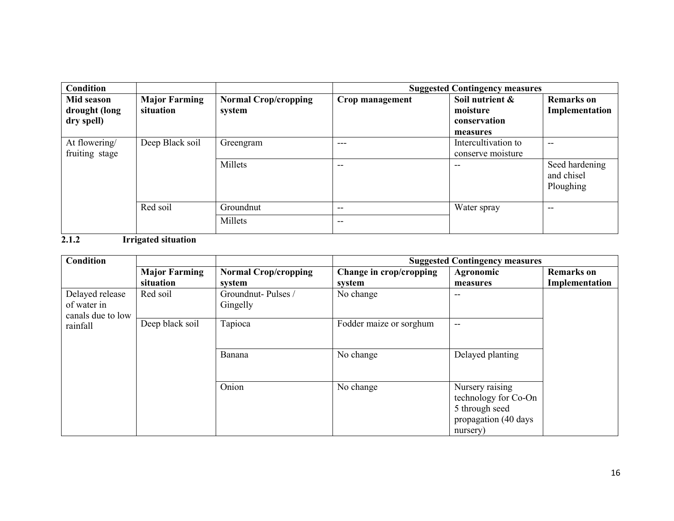| <b>Condition</b> |                      |                             | <b>Suggested Contingency measures</b> |                     |                                           |
|------------------|----------------------|-----------------------------|---------------------------------------|---------------------|-------------------------------------------|
| Mid season       | <b>Major Farming</b> | <b>Normal Crop/cropping</b> | Crop management                       | Soil nutrient &     | <b>Remarks</b> on                         |
| drought (long    | situation            | system                      |                                       | moisture            | Implementation                            |
| dry spell)       |                      |                             |                                       | conservation        |                                           |
|                  |                      |                             |                                       | measures            |                                           |
| At flowering/    | Deep Black soil      | Greengram                   | ---                                   | Intercultivation to | $- -$                                     |
| fruiting stage   |                      |                             |                                       | conserve moisture   |                                           |
|                  |                      | Millets                     | --                                    |                     | Seed hardening<br>and chisel<br>Ploughing |
|                  | Red soil             | Groundnut                   | --                                    | Water spray         | --                                        |
|                  |                      | Millets                     | --                                    |                     |                                           |

#### 2.1.2 Irrigated situation

| Condition         |                      |                             |                         | <b>Suggested Contingency measures</b> |                   |
|-------------------|----------------------|-----------------------------|-------------------------|---------------------------------------|-------------------|
|                   | <b>Major Farming</b> | <b>Normal Crop/cropping</b> | Change in crop/cropping | Agronomic                             | <b>Remarks</b> on |
|                   | situation            | system                      | system                  | measures                              | Implementation    |
| Delayed release   | Red soil             | Groundnut-Pulses /          | No change               | --                                    |                   |
| of water in       |                      | Gingelly                    |                         |                                       |                   |
| canals due to low |                      |                             |                         |                                       |                   |
| rainfall          | Deep black soil      | Tapioca                     | Fodder maize or sorghum | --                                    |                   |
|                   |                      |                             |                         |                                       |                   |
|                   |                      |                             |                         |                                       |                   |
|                   |                      | Banana                      | No change               | Delayed planting                      |                   |
|                   |                      |                             |                         |                                       |                   |
|                   |                      |                             |                         |                                       |                   |
|                   |                      | Onion                       | No change               | Nursery raising                       |                   |
|                   |                      |                             |                         | technology for Co-On                  |                   |
|                   |                      |                             |                         | 5 through seed                        |                   |
|                   |                      |                             |                         | propagation (40 days                  |                   |
|                   |                      |                             |                         | nursery)                              |                   |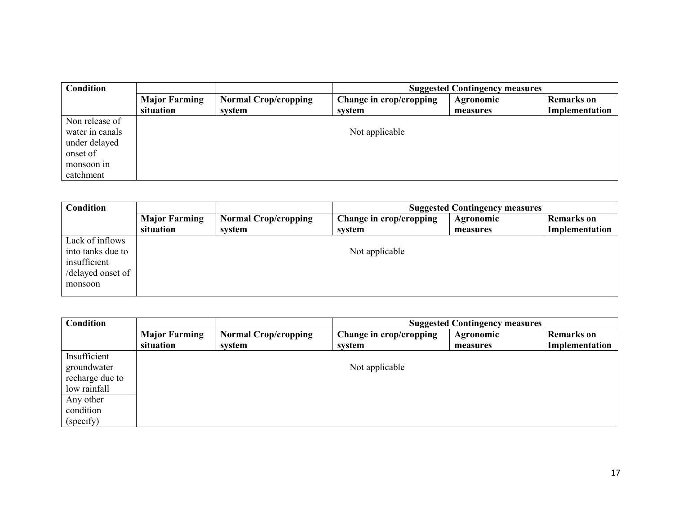| <b>Condition</b> |                                   |                                       | <b>Suggested Contingency measures</b> |                              |                                     |  |
|------------------|-----------------------------------|---------------------------------------|---------------------------------------|------------------------------|-------------------------------------|--|
|                  | <b>Major Farming</b><br>situation | <b>Normal Crop/cropping</b><br>system | Change in crop/cropping<br>system     | <b>Agronomic</b><br>measures | <b>Remarks</b> on<br>Implementation |  |
| Non release of   |                                   |                                       |                                       |                              |                                     |  |
| water in canals  |                                   |                                       | Not applicable                        |                              |                                     |  |
| under delayed    |                                   |                                       |                                       |                              |                                     |  |
| onset of         |                                   |                                       |                                       |                              |                                     |  |
| monsoon in       |                                   |                                       |                                       |                              |                                     |  |
| catchment        |                                   |                                       |                                       |                              |                                     |  |

| Condition                                                                            |                      |                             |                         | <b>Suggested Contingency measures</b> |                   |
|--------------------------------------------------------------------------------------|----------------------|-----------------------------|-------------------------|---------------------------------------|-------------------|
|                                                                                      | <b>Major Farming</b> | <b>Normal Crop/cropping</b> | Change in crop/cropping | <b>Agronomic</b>                      | <b>Remarks</b> on |
|                                                                                      | situation            | system                      | system                  | measures                              | Implementation    |
| Lack of inflows<br>into tanks due to<br>insufficient<br>/delayed onset of<br>monsoon |                      |                             | Not applicable          |                                       |                   |

| Condition       |                      |                             | <b>Suggested Contingency measures</b> |           |                   |  |
|-----------------|----------------------|-----------------------------|---------------------------------------|-----------|-------------------|--|
|                 | <b>Major Farming</b> | <b>Normal Crop/cropping</b> | Change in crop/cropping               | Agronomic | <b>Remarks</b> on |  |
|                 | situation            | svstem                      | system                                | measures  | Implementation    |  |
| Insufficient    |                      |                             |                                       |           |                   |  |
| groundwater     |                      |                             | Not applicable                        |           |                   |  |
| recharge due to |                      |                             |                                       |           |                   |  |
| low rainfall    |                      |                             |                                       |           |                   |  |
| Any other       |                      |                             |                                       |           |                   |  |
| condition       |                      |                             |                                       |           |                   |  |
| (specify)       |                      |                             |                                       |           |                   |  |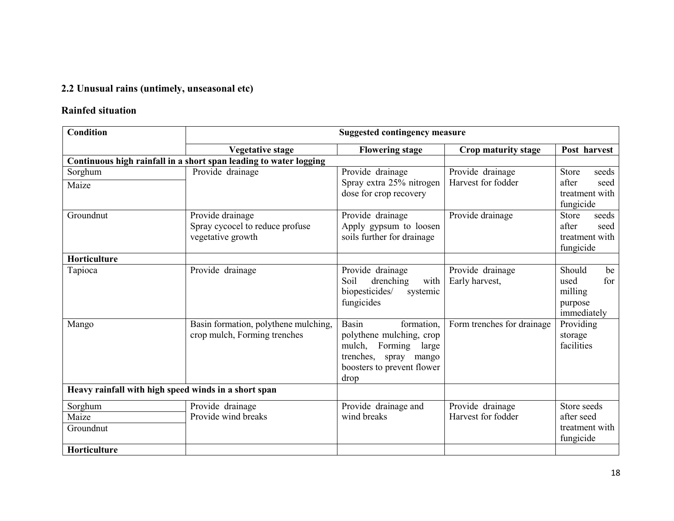#### 2.2 Unusual rains (untimely, unseasonal etc)

#### Rainfed situation

| <b>Condition</b>                                     | <b>Suggested contingency measure</b>                                     |                                                                                                                                                     |                                        |                                                                       |  |  |  |
|------------------------------------------------------|--------------------------------------------------------------------------|-----------------------------------------------------------------------------------------------------------------------------------------------------|----------------------------------------|-----------------------------------------------------------------------|--|--|--|
|                                                      | <b>Vegetative stage</b>                                                  | <b>Flowering stage</b>                                                                                                                              | Crop maturity stage                    | Post harvest                                                          |  |  |  |
|                                                      | Continuous high rainfall in a short span leading to water logging        |                                                                                                                                                     |                                        |                                                                       |  |  |  |
| Sorghum                                              | Provide drainage                                                         | Provide drainage                                                                                                                                    | Provide drainage                       | <b>Store</b><br>seeds                                                 |  |  |  |
| Maize                                                |                                                                          | Spray extra 25% nitrogen<br>dose for crop recovery                                                                                                  | Harvest for fodder                     | after<br>seed<br>treatment with<br>fungicide                          |  |  |  |
| Groundnut                                            | Provide drainage<br>Spray cycocel to reduce profuse<br>vegetative growth | Provide drainage<br>Apply gypsum to loosen<br>soils further for drainage                                                                            | Provide drainage                       | <b>Store</b><br>seeds<br>after<br>seed<br>treatment with<br>fungicide |  |  |  |
| Horticulture                                         |                                                                          |                                                                                                                                                     |                                        |                                                                       |  |  |  |
| Tapioca                                              | Provide drainage                                                         | Provide drainage<br>drenching<br>with<br>Soil<br>biopesticides/<br>systemic<br>fungicides                                                           | Provide drainage<br>Early harvest,     | Should<br>be<br>for<br>used<br>milling<br>purpose<br>immediately      |  |  |  |
| Mango                                                | Basin formation, polythene mulching,<br>crop mulch, Forming trenches     | <b>Basin</b><br>formation,<br>polythene mulching, crop<br>Forming<br>mulch,<br>large<br>trenches, spray mango<br>boosters to prevent flower<br>drop | Form trenches for drainage             | Providing<br>storage<br>facilities                                    |  |  |  |
| Heavy rainfall with high speed winds in a short span |                                                                          |                                                                                                                                                     |                                        |                                                                       |  |  |  |
| Sorghum<br>Maize<br>Groundnut                        | Provide drainage<br>Provide wind breaks                                  | Provide drainage and<br>wind breaks                                                                                                                 | Provide drainage<br>Harvest for fodder | Store seeds<br>after seed<br>treatment with<br>fungicide              |  |  |  |
| Horticulture                                         |                                                                          |                                                                                                                                                     |                                        |                                                                       |  |  |  |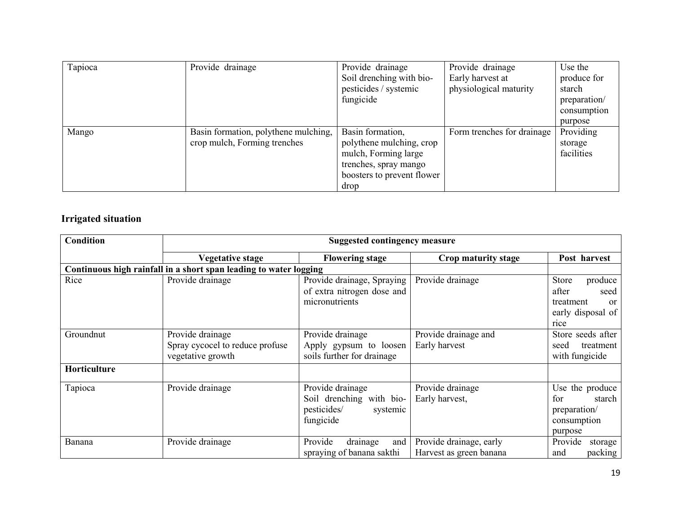| Tapioca | Provide drainage                     | Provide drainage           | Provide drainage           | Use the      |
|---------|--------------------------------------|----------------------------|----------------------------|--------------|
|         |                                      | Soil drenching with bio-   | Early harvest at           | produce for  |
|         |                                      | pesticides / systemic      | physiological maturity     | starch       |
|         |                                      | fungicide                  |                            | preparation/ |
|         |                                      |                            |                            | consumption  |
|         |                                      |                            |                            | purpose      |
| Mango   | Basin formation, polythene mulching, | Basin formation,           | Form trenches for drainage | Providing    |
|         | crop mulch, Forming trenches         | polythene mulching, crop   |                            | storage      |
|         |                                      | mulch, Forming large       |                            | facilities   |
|         |                                      | trenches, spray mango      |                            |              |
|         |                                      | boosters to prevent flower |                            |              |
|         |                                      | drop                       |                            |              |

### Irrigated situation

| <b>Condition</b> | <b>Suggested contingency measure</b>                                     |                                                                                      |                                                    |                                                                                              |  |
|------------------|--------------------------------------------------------------------------|--------------------------------------------------------------------------------------|----------------------------------------------------|----------------------------------------------------------------------------------------------|--|
|                  | <b>Vegetative stage</b>                                                  | <b>Flowering stage</b>                                                               | Crop maturity stage                                | Post harvest                                                                                 |  |
|                  | Continuous high rainfall in a short span leading to water logging        |                                                                                      |                                                    |                                                                                              |  |
| Rice             | Provide drainage                                                         | Provide drainage, Spraying<br>of extra nitrogen dose and<br>micronutrients           | Provide drainage                                   | Store<br>produce<br>after<br>seed<br>treatment<br><sub>or</sub><br>early disposal of<br>rice |  |
| Groundnut        | Provide drainage<br>Spray cycocel to reduce profuse<br>vegetative growth | Provide drainage<br>Apply gypsum to loosen<br>soils further for drainage             | Provide drainage and<br>Early harvest              | Store seeds after<br>treatment<br>seed<br>with fungicide                                     |  |
| Horticulture     |                                                                          |                                                                                      |                                                    |                                                                                              |  |
| Tapioca          | Provide drainage                                                         | Provide drainage<br>Soil drenching with bio-<br>pesticides/<br>systemic<br>fungicide | Provide drainage<br>Early harvest,                 | Use the produce<br>starch<br>for<br>preparation/<br>consumption<br>purpose                   |  |
| Banana           | Provide drainage                                                         | Provide<br>drainage<br>and<br>spraying of banana sakthi                              | Provide drainage, early<br>Harvest as green banana | Provide<br>storage<br>packing<br>and                                                         |  |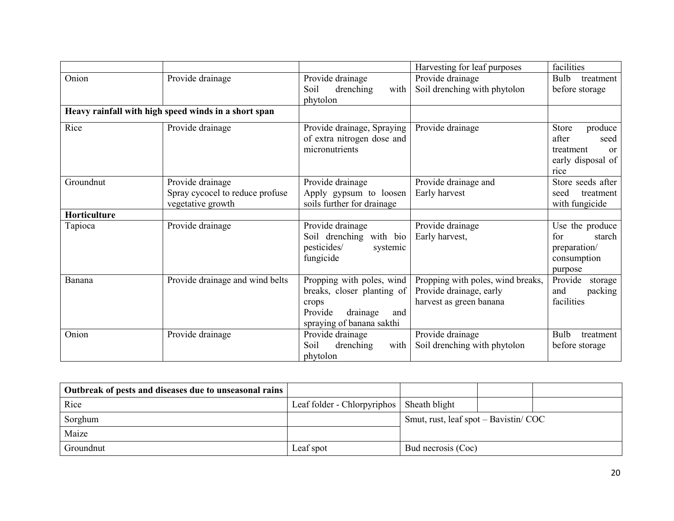|                     |                                                                          |                                                                                                                             | Harvesting for leaf purposes                                                            | facilities                                                                                   |
|---------------------|--------------------------------------------------------------------------|-----------------------------------------------------------------------------------------------------------------------------|-----------------------------------------------------------------------------------------|----------------------------------------------------------------------------------------------|
| Onion               | Provide drainage                                                         | Provide drainage<br>drenching<br>with<br>Soil<br>phytolon                                                                   | Provide drainage<br>Soil drenching with phytolon                                        | Bulb<br>treatment<br>before storage                                                          |
|                     | Heavy rainfall with high speed winds in a short span                     |                                                                                                                             |                                                                                         |                                                                                              |
| Rice                | Provide drainage                                                         | Provide drainage, Spraying<br>of extra nitrogen dose and<br>micronutrients                                                  | Provide drainage                                                                        | Store<br>produce<br>after<br>seed<br>treatment<br><sub>or</sub><br>early disposal of<br>rice |
| Groundnut           | Provide drainage<br>Spray cycocel to reduce profuse<br>vegetative growth | Provide drainage<br>Apply gypsum to loosen<br>soils further for drainage                                                    | Provide drainage and<br>Early harvest                                                   | Store seeds after<br>treatment<br>seed<br>with fungicide                                     |
| <b>Horticulture</b> |                                                                          |                                                                                                                             |                                                                                         |                                                                                              |
| Tapioca             | Provide drainage                                                         | Provide drainage<br>Soil drenching with bio<br>pesticides/<br>systemic<br>fungicide                                         | Provide drainage<br>Early harvest,                                                      | Use the produce<br>for<br>starch<br>preparation/<br>consumption<br>purpose                   |
| Banana              | Provide drainage and wind belts                                          | Propping with poles, wind<br>breaks, closer planting of<br>crops<br>Provide<br>drainage<br>and<br>spraying of banana sakthi | Propping with poles, wind breaks,<br>Provide drainage, early<br>harvest as green banana | Provide<br>storage<br>packing<br>and<br>facilities                                           |
| Onion               | Provide drainage                                                         | Provide drainage<br>Soil<br>drenching<br>with<br>phytolon                                                                   | Provide drainage<br>Soil drenching with phytolon                                        | Bulb<br>treatment<br>before storage                                                          |

| Outbreak of pests and diseases due to unseasonal rains |                                             |                                       |  |
|--------------------------------------------------------|---------------------------------------------|---------------------------------------|--|
| Rice                                                   | Leaf folder - Chlorpyriphos   Sheath blight |                                       |  |
| Sorghum                                                |                                             | Smut, rust, leaf spot – Bavistin/ COC |  |
| Maize                                                  |                                             |                                       |  |
| Groundnut                                              | Leaf spot                                   | Bud necrosis (Coc)                    |  |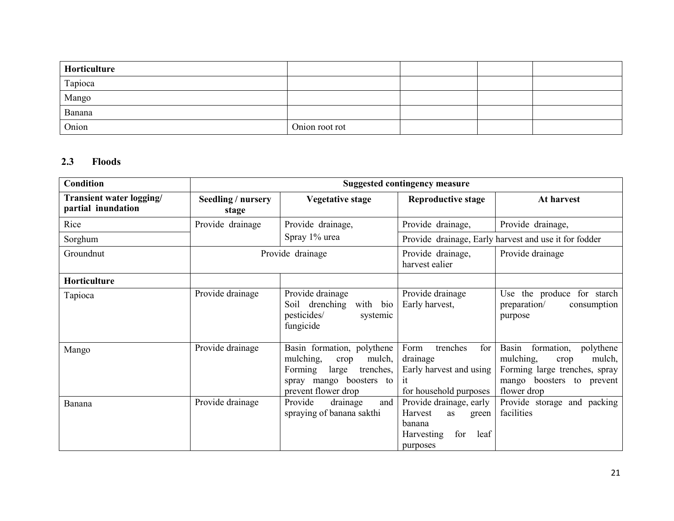| Horticulture |                |  |  |
|--------------|----------------|--|--|
| Tapioca      |                |  |  |
| Mango        |                |  |  |
| Banana       |                |  |  |
| Onion        | Onion root rot |  |  |

#### 2.3 Floods

| <b>Condition</b>                               | <b>Suggested contingency measure</b> |                                                                                                                                              |                                                                                                             |                                                                                                                                              |  |
|------------------------------------------------|--------------------------------------|----------------------------------------------------------------------------------------------------------------------------------------------|-------------------------------------------------------------------------------------------------------------|----------------------------------------------------------------------------------------------------------------------------------------------|--|
| Transient water logging/<br>partial inundation | Seedling / nursery<br>stage          | <b>Vegetative stage</b>                                                                                                                      | <b>Reproductive stage</b>                                                                                   | At harvest                                                                                                                                   |  |
| Rice                                           | Provide drainage                     | Provide drainage,                                                                                                                            | Provide drainage,                                                                                           | Provide drainage,                                                                                                                            |  |
| Sorghum                                        |                                      | Spray 1% urea                                                                                                                                |                                                                                                             | Provide drainage, Early harvest and use it for fodder                                                                                        |  |
| Groundnut                                      |                                      | Provide drainage                                                                                                                             | Provide drainage,<br>harvest ealier                                                                         | Provide drainage                                                                                                                             |  |
| Horticulture                                   |                                      |                                                                                                                                              |                                                                                                             |                                                                                                                                              |  |
| Tapioca                                        | Provide drainage                     | Provide drainage<br>Soil drenching<br>with bio<br>pesticides/<br>systemic<br>fungicide                                                       | Provide drainage<br>Early harvest,                                                                          | Use the produce for starch<br>preparation/<br>consumption<br>purpose                                                                         |  |
| Mango                                          | Provide drainage                     | Basin formation, polythene<br>mulching,<br>mulch,<br>crop<br>Forming<br>large<br>trenches,<br>spray mango boosters to<br>prevent flower drop | Form<br>trenches<br>for<br>drainage<br>Early harvest and using<br>1t<br>for household purposes              | Basin<br>formation,<br>polythene<br>mulching,<br>mulch,<br>crop<br>Forming large trenches, spray<br>mango boosters to prevent<br>flower drop |  |
| Banana                                         | Provide drainage                     | Provide<br>drainage<br>and<br>spraying of banana sakthi                                                                                      | Provide drainage, early<br>Harvest<br>as<br>green<br>banana<br>for<br>leaf<br><b>Harvesting</b><br>purposes | Provide storage and packing<br>facilities                                                                                                    |  |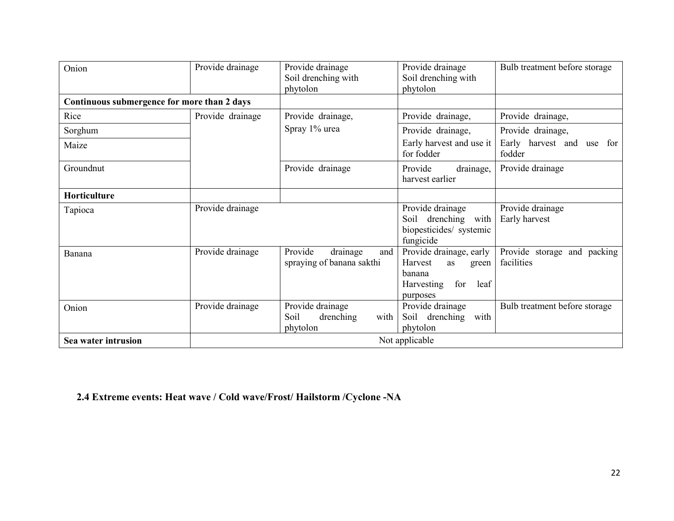| Onion                                       | Provide drainage | Provide drainage<br>Soil drenching with<br>phytolon       | Provide drainage<br>Soil drenching with<br>phytolon                                                                | Bulb treatment before storage             |  |  |
|---------------------------------------------|------------------|-----------------------------------------------------------|--------------------------------------------------------------------------------------------------------------------|-------------------------------------------|--|--|
| Continuous submergence for more than 2 days |                  |                                                           |                                                                                                                    |                                           |  |  |
| Rice                                        | Provide drainage | Provide drainage,                                         | Provide drainage,                                                                                                  | Provide drainage,                         |  |  |
| Sorghum                                     |                  | Spray 1% urea                                             | Provide drainage,                                                                                                  | Provide drainage,                         |  |  |
| Maize                                       |                  |                                                           | Early harvest and use it<br>for fodder                                                                             | Early harvest and use for<br>fodder       |  |  |
| Groundnut                                   |                  | Provide drainage                                          | Provide<br>drainage,<br>harvest earlier                                                                            | Provide drainage                          |  |  |
| <b>Horticulture</b>                         |                  |                                                           |                                                                                                                    |                                           |  |  |
| Tapioca                                     | Provide drainage |                                                           | Provide drainage<br>Soil drenching with<br>biopesticides/ systemic<br>fungicide                                    | Provide drainage<br>Early harvest         |  |  |
| Banana                                      | Provide drainage | Provide<br>drainage<br>and<br>spraying of banana sakthi   | Provide drainage, early<br><b>Harvest</b><br>as<br>green<br>banana<br><b>Harvesting</b><br>for<br>leaf<br>purposes | Provide storage and packing<br>facilities |  |  |
| Onion                                       | Provide drainage | Provide drainage<br>Soil<br>drenching<br>with<br>phytolon | Provide drainage<br>Soil drenching with<br>phytolon                                                                | Bulb treatment before storage             |  |  |
| Sea water intrusion                         |                  | Not applicable                                            |                                                                                                                    |                                           |  |  |

## 2.4 Extreme events: Heat wave / Cold wave/Frost/ Hailstorm /Cyclone -NA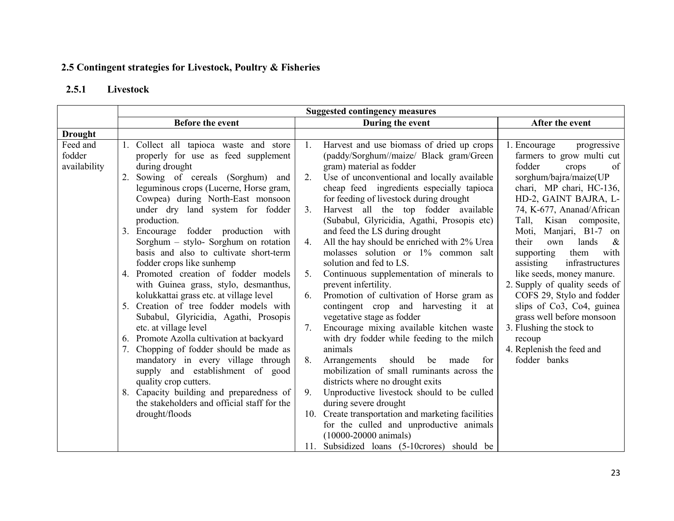#### 2.5 Contingent strategies for Livestock, Poultry & Fisheries

#### 2.5.1 Livestock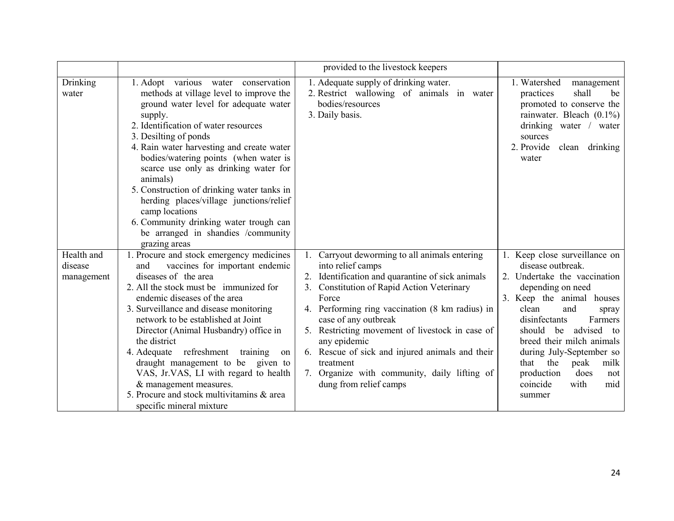|                                     |                                                                                                                                                                                                                                                                                                                                                                                                                                                                                                                                                               | provided to the livestock keepers                                                                                                                                                                                                                                                                                                                                                                                                                                            |                                                                                                                                                                                                                                                                                                                                                                                         |
|-------------------------------------|---------------------------------------------------------------------------------------------------------------------------------------------------------------------------------------------------------------------------------------------------------------------------------------------------------------------------------------------------------------------------------------------------------------------------------------------------------------------------------------------------------------------------------------------------------------|------------------------------------------------------------------------------------------------------------------------------------------------------------------------------------------------------------------------------------------------------------------------------------------------------------------------------------------------------------------------------------------------------------------------------------------------------------------------------|-----------------------------------------------------------------------------------------------------------------------------------------------------------------------------------------------------------------------------------------------------------------------------------------------------------------------------------------------------------------------------------------|
| Drinking<br>water                   | 1. Adopt various water conservation<br>methods at village level to improve the<br>ground water level for adequate water<br>supply.<br>2. Identification of water resources<br>3. Desilting of ponds<br>4. Rain water harvesting and create water<br>bodies/watering points (when water is<br>scarce use only as drinking water for<br>animals)<br>5. Construction of drinking water tanks in<br>herding places/village junctions/relief<br>camp locations<br>6. Community drinking water trough can<br>be arranged in shandies /community<br>grazing areas    | 1. Adequate supply of drinking water.<br>2. Restrict wallowing of animals in water<br>bodies/resources<br>3. Daily basis.                                                                                                                                                                                                                                                                                                                                                    | 1. Watershed<br>management<br>shall<br>practices<br>be<br>promoted to conserve the<br>rainwater. Bleach $(0.1\%)$<br>drinking water / water<br>sources<br>2. Provide<br>clean drinking<br>water                                                                                                                                                                                         |
| Health and<br>disease<br>management | 1. Procure and stock emergency medicines<br>vaccines for important endemic<br>and<br>diseases of the area<br>2. All the stock must be immunized for<br>endemic diseases of the area<br>3. Surveillance and disease monitoring<br>network to be established at Joint<br>Director (Animal Husbandry) office in<br>the district<br>4. Adequate refreshment<br>training<br>on<br>draught management to be<br>given to<br>VAS, Jr.VAS, LI with regard to health<br>& management measures.<br>5. Procure and stock multivitamins & area<br>specific mineral mixture | Carryout deworming to all animals entering<br>1.<br>into relief camps<br>Identification and quarantine of sick animals<br><b>Constitution of Rapid Action Veterinary</b><br>Force<br>4. Performing ring vaccination (8 km radius) in<br>case of any outbreak<br>Restricting movement of livestock in case of<br>5.<br>any epidemic<br>6. Rescue of sick and injured animals and their<br>treatment<br>7. Organize with community, daily lifting of<br>dung from relief camps | 1. Keep close surveillance on<br>disease outbreak.<br>Undertake the vaccination<br>2.<br>depending on need<br>3. Keep the animal houses<br>clean<br>and<br>spray<br>disinfectants<br>Farmers<br>should<br>advised<br>be<br>to<br>breed their milch animals<br>during July-September so<br>the<br>peak<br>milk<br>that<br>production<br>does<br>not<br>with<br>coincide<br>mid<br>summer |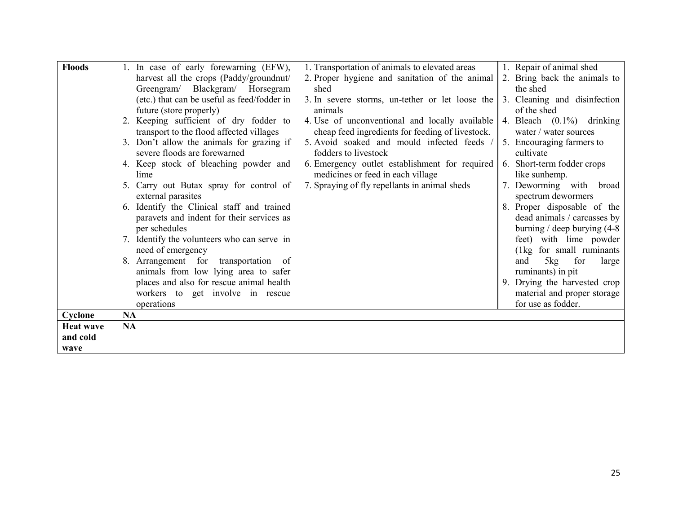| <b>Floods</b>    | 1. In case of early forewarning (EFW),                           | 1. Transportation of animals to elevated areas   | 1. Repair of animal shed                            |
|------------------|------------------------------------------------------------------|--------------------------------------------------|-----------------------------------------------------|
|                  | harvest all the crops (Paddy/groundnut/                          | 2. Proper hygiene and sanitation of the animal   | 2. Bring back the animals to                        |
|                  | Greengram/ Blackgram/ Horsegram                                  | shed                                             | the shed                                            |
|                  | (etc.) that can be useful as feed/fodder in                      | 3. In severe storms, un-tether or let loose the  | 3. Cleaning and disinfection                        |
|                  | future (store properly)                                          | animals                                          | of the shed                                         |
|                  | 2. Keeping sufficient of dry fodder to                           | 4. Use of unconventional and locally available   | 4. Bleach $(0.1\%)$ drinking                        |
|                  | transport to the flood affected villages                         | cheap feed ingredients for feeding of livestock. | water / water sources                               |
|                  | 3. Don't allow the animals for grazing if                        | 5. Avoid soaked and mould infected feeds /       | 5. Encouraging farmers to                           |
|                  | severe floods are forewarned                                     | fodders to livestock                             | cultivate                                           |
|                  | 4. Keep stock of bleaching powder and                            | 6. Emergency outlet establishment for required   | 6. Short-term fodder crops                          |
|                  | lime                                                             | medicines or feed in each village                | like sunhemp.                                       |
|                  | 5. Carry out Butax spray for control of                          | 7. Spraying of fly repellants in animal sheds    | 7. Deworming with broad                             |
|                  | external parasites                                               |                                                  | spectrum dewormers                                  |
|                  | 6. Identify the Clinical staff and trained                       |                                                  | 8. Proper disposable of the                         |
|                  | paravets and indent for their services as                        |                                                  | dead animals / carcasses by                         |
|                  | per schedules                                                    |                                                  | burning / deep burying $(4-8)$                      |
|                  | 7. Identify the volunteers who can serve in<br>need of emergency |                                                  | feet) with lime powder<br>(1kg for small ruminants) |
|                  | 8. Arrangement for transportation of                             |                                                  | 5kg<br>for<br>and<br>large                          |
|                  | animals from low lying area to safer                             |                                                  | ruminants) in pit                                   |
|                  | places and also for rescue animal health                         |                                                  | 9. Drying the harvested crop                        |
|                  | workers to get involve in rescue                                 |                                                  | material and proper storage                         |
|                  | operations                                                       |                                                  | for use as fodder.                                  |
| Cyclone          | <b>NA</b>                                                        |                                                  |                                                     |
| <b>Heat wave</b> | <b>NA</b>                                                        |                                                  |                                                     |
| and cold         |                                                                  |                                                  |                                                     |
| wave             |                                                                  |                                                  |                                                     |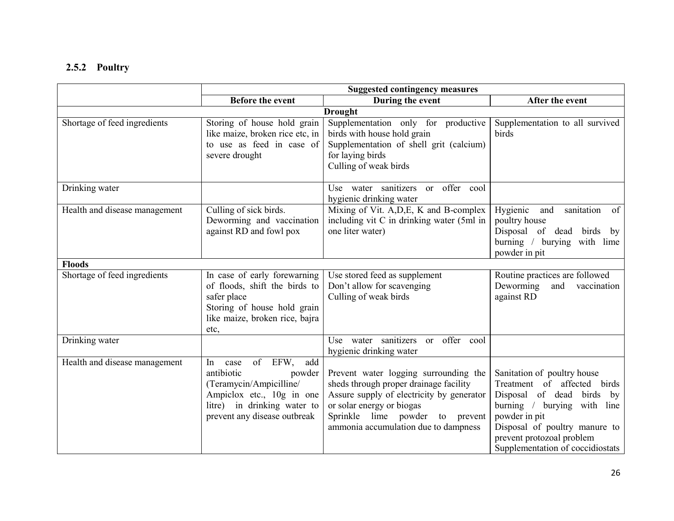## 2.5.2 Poultry

|                               | <b>Suggested contingency measures</b>                                                                                                                                       |                                                                                                                                                                                                                                      |                                                                                                                                                                                                                                              |
|-------------------------------|-----------------------------------------------------------------------------------------------------------------------------------------------------------------------------|--------------------------------------------------------------------------------------------------------------------------------------------------------------------------------------------------------------------------------------|----------------------------------------------------------------------------------------------------------------------------------------------------------------------------------------------------------------------------------------------|
|                               | <b>Before the event</b>                                                                                                                                                     | During the event                                                                                                                                                                                                                     | After the event                                                                                                                                                                                                                              |
|                               |                                                                                                                                                                             | <b>Drought</b>                                                                                                                                                                                                                       |                                                                                                                                                                                                                                              |
| Shortage of feed ingredients  | Storing of house hold grain<br>like maize, broken rice etc, in<br>to use as feed in case of<br>severe drought                                                               | Supplementation only for productive<br>birds with house hold grain<br>Supplementation of shell grit (calcium)<br>for laying birds<br>Culling of weak birds                                                                           | Supplementation to all survived<br>birds                                                                                                                                                                                                     |
| Drinking water                |                                                                                                                                                                             | Use water sanitizers or offer cool<br>hygienic drinking water                                                                                                                                                                        |                                                                                                                                                                                                                                              |
| Health and disease management | Culling of sick birds.<br>Deworming and vaccination<br>against RD and fowl pox                                                                                              | Mixing of Vit. A, D, E, K and B-complex<br>including vit C in drinking water (5ml in<br>one liter water)                                                                                                                             | Hygienic<br>and<br>sanitation<br>of<br>poultry house<br>Disposal of dead birds by<br>burning / burying with lime<br>powder in pit                                                                                                            |
| <b>Floods</b>                 |                                                                                                                                                                             |                                                                                                                                                                                                                                      |                                                                                                                                                                                                                                              |
| Shortage of feed ingredients  | In case of early forewarning<br>of floods, shift the birds to<br>safer place<br>Storing of house hold grain<br>like maize, broken rice, bajra<br>etc,                       | Use stored feed as supplement<br>Don't allow for scavenging<br>Culling of weak birds                                                                                                                                                 | Routine practices are followed<br>Deworming<br>and vaccination<br>against RD                                                                                                                                                                 |
| Drinking water                |                                                                                                                                                                             | Use water sanitizers or offer cool<br>hygienic drinking water                                                                                                                                                                        |                                                                                                                                                                                                                                              |
| Health and disease management | of EFW,<br>add<br>In<br>case<br>antibiotic<br>powder<br>(Teramycin/Ampicilline/<br>Ampiclox etc., 10g in one<br>litre) in drinking water to<br>prevent any disease outbreak | Prevent water logging surrounding the<br>sheds through proper drainage facility<br>Assure supply of electricity by generator<br>or solar energy or biogas<br>Sprinkle lime powder to prevent<br>ammonia accumulation due to dampness | Sanitation of poultry house<br>Treatment of affected birds<br>Disposal of dead birds<br>by<br>burning / burying with line<br>powder in pit<br>Disposal of poultry manure to<br>prevent protozoal problem<br>Supplementation of coccidiostats |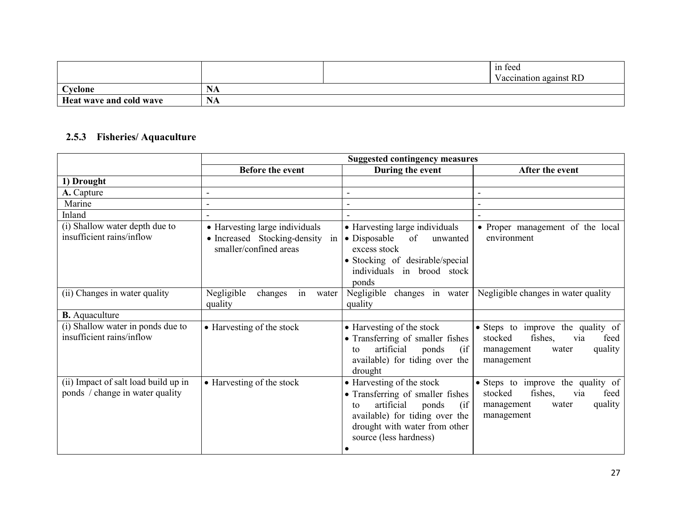|                         |                  | $\sim$<br>in feed<br>Vaccination against RD |
|-------------------------|------------------|---------------------------------------------|
| Cyclone                 | NA               |                                             |
| Heat wave and cold wave | <b>B</b> T<br>NA |                                             |

## 2.5.3 Fisheries/ Aquaculture

|                                                                         | <b>Suggested contingency measures</b>                                                          |                                                                                                                                                                                                             |                                                                                                                        |
|-------------------------------------------------------------------------|------------------------------------------------------------------------------------------------|-------------------------------------------------------------------------------------------------------------------------------------------------------------------------------------------------------------|------------------------------------------------------------------------------------------------------------------------|
|                                                                         | Before the event                                                                               | During the event                                                                                                                                                                                            | After the event                                                                                                        |
| 1) Drought                                                              |                                                                                                |                                                                                                                                                                                                             |                                                                                                                        |
| A. Capture                                                              |                                                                                                |                                                                                                                                                                                                             | $\blacksquare$                                                                                                         |
| Marine                                                                  |                                                                                                |                                                                                                                                                                                                             |                                                                                                                        |
| Inland                                                                  |                                                                                                |                                                                                                                                                                                                             |                                                                                                                        |
| (i) Shallow water depth due to<br>insufficient rains/inflow             | • Harvesting large individuals<br>• Increased Stocking-density<br>in<br>smaller/confined areas | • Harvesting large individuals<br>$\bullet$ Disposable<br>of<br>unwanted<br>excess stock<br>• Stocking of desirable/special<br>individuals in brood stock<br>ponds                                          | • Proper management of the local<br>environment                                                                        |
| (ii) Changes in water quality                                           | Negligible<br>changes<br>in<br>water<br>quality                                                | changes in water<br>Negligible<br>quality                                                                                                                                                                   | Negligible changes in water quality                                                                                    |
| <b>B.</b> Aquaculture                                                   |                                                                                                |                                                                                                                                                                                                             |                                                                                                                        |
| (i) Shallow water in ponds due to<br>insufficient rains/inflow          | • Harvesting of the stock                                                                      | • Harvesting of the stock<br>• Transferring of smaller fishes<br>artificial<br>ponds<br>(if<br>to<br>available) for tiding over the<br>drought                                                              | • Steps to improve the quality of<br>fishes,<br>feed<br>stocked<br>via<br>quality<br>management<br>water<br>management |
| (ii) Impact of salt load build up in<br>ponds / change in water quality | • Harvesting of the stock                                                                      | • Harvesting of the stock<br>• Transferring of smaller fishes<br>artificial<br>ponds<br>(ii<br>to<br>available) for tiding over the<br>drought with water from other<br>source (less hardness)<br>$\bullet$ | • Steps to improve the quality of<br>fishes,<br>feed<br>stocked<br>via<br>quality<br>management<br>water<br>management |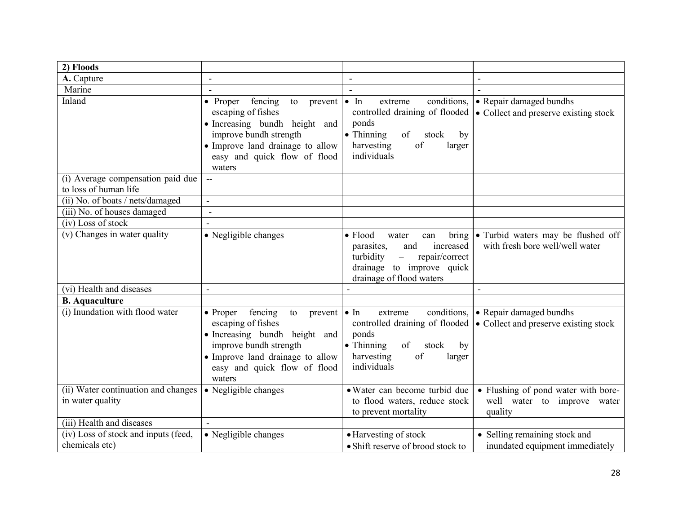| 2) Floods                                                  |                                                                                                                                                                                                     |                                                                                                                                                                           |                                                                                     |
|------------------------------------------------------------|-----------------------------------------------------------------------------------------------------------------------------------------------------------------------------------------------------|---------------------------------------------------------------------------------------------------------------------------------------------------------------------------|-------------------------------------------------------------------------------------|
| A. Capture                                                 | $\blacksquare$                                                                                                                                                                                      | $\blacksquare$                                                                                                                                                            |                                                                                     |
| Marine                                                     |                                                                                                                                                                                                     | $\blacksquare$                                                                                                                                                            |                                                                                     |
| Inland                                                     | fencing<br>• Proper<br>to<br>prevent<br>escaping of fishes<br>• Increasing bundh height and<br>improve bundh strength<br>• Improve land drainage to allow<br>easy and quick flow of flood<br>waters | $\bullet$ In<br>conditions,<br>extreme<br>controlled draining of flooded<br>ponds<br>$\bullet$ Thinning<br>of<br>stock<br>by<br>harvesting<br>of<br>larger<br>individuals | • Repair damaged bundhs<br>• Collect and preserve existing stock                    |
| (i) Average compensation paid due<br>to loss of human life | $\overline{a}$                                                                                                                                                                                      |                                                                                                                                                                           |                                                                                     |
| (ii) No. of boats / nets/damaged                           | $\sim$                                                                                                                                                                                              |                                                                                                                                                                           |                                                                                     |
| (iii) No. of houses damaged                                | $\overline{\phantom{a}}$                                                                                                                                                                            |                                                                                                                                                                           |                                                                                     |
| (iv) Loss of stock                                         |                                                                                                                                                                                                     |                                                                                                                                                                           |                                                                                     |
| (v) Changes in water quality                               | • Negligible changes                                                                                                                                                                                | $\bullet$ Flood<br>water<br>can<br>increased<br>parasites,<br>and<br>repair/correct<br>turbidity<br>$\equiv$<br>drainage to improve quick<br>drainage of flood waters     | bring $\bullet$ Turbid waters may be flushed off<br>with fresh bore well/well water |
| (vi) Health and diseases                                   |                                                                                                                                                                                                     |                                                                                                                                                                           | $\sim$                                                                              |
| <b>B.</b> Aquaculture                                      |                                                                                                                                                                                                     |                                                                                                                                                                           |                                                                                     |
| (i) Inundation with flood water                            | fencing<br>• Proper<br>to<br>prevent<br>escaping of fishes<br>• Increasing bundh height and<br>improve bundh strength<br>• Improve land drainage to allow<br>easy and quick flow of flood<br>waters | conditions,<br>$\bullet$ In<br>extreme<br>controlled draining of flooded<br>ponds<br>$\bullet$ Thinning<br>of<br>stock<br>by<br>harvesting<br>of<br>larger<br>individuals | • Repair damaged bundhs<br>• Collect and preserve existing stock                    |
| (ii) Water continuation and changes<br>in water quality    | • Negligible changes                                                                                                                                                                                | • Water can become turbid due<br>to flood waters, reduce stock<br>to prevent mortality                                                                                    | • Flushing of pond water with bore-<br>well water to improve water<br>quality       |
| (iii) Health and diseases                                  |                                                                                                                                                                                                     |                                                                                                                                                                           |                                                                                     |
| (iv) Loss of stock and inputs (feed,<br>chemicals etc)     | • Negligible changes                                                                                                                                                                                | • Harvesting of stock<br>• Shift reserve of brood stock to                                                                                                                | • Selling remaining stock and<br>inundated equipment immediately                    |